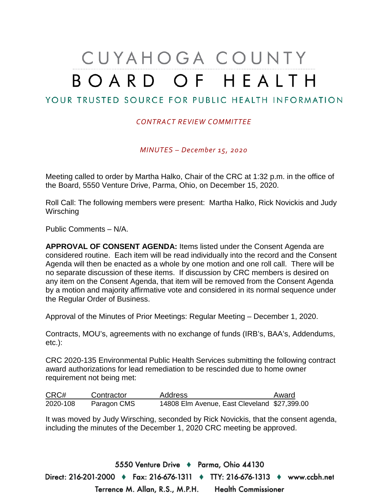## CUYAHOGA COUNTY BOARD OF HEALTH

## YOUR TRUSTED SOURCE FOR PUBLIC HEALTH INFORMATION

## *CONTRACT REVIEW COMMITTEE*

*MINUTES – December 15, 2020*

Meeting called to order by Martha Halko, Chair of the CRC at 1:32 p.m. in the office of the Board, 5550 Venture Drive, Parma, Ohio, on December 15, 2020.

Roll Call: The following members were present: Martha Halko, Rick Novickis and Judy **Wirsching** 

Public Comments – N/A.

**APPROVAL OF CONSENT AGENDA:** Items listed under the Consent Agenda are considered routine. Each item will be read individually into the record and the Consent Agenda will then be enacted as a whole by one motion and one roll call. There will be no separate discussion of these items. If discussion by CRC members is desired on any item on the Consent Agenda, that item will be removed from the Consent Agenda by a motion and majority affirmative vote and considered in its normal sequence under the Regular Order of Business.

Approval of the Minutes of Prior Meetings: Regular Meeting – December 1, 2020.

Contracts, MOU's, agreements with no exchange of funds (IRB's, BAA's, Addendums, etc.):

CRC 2020-135 Environmental Public Health Services submitting the following contract award authorizations for lead remediation to be rescinded due to home owner requirement not being met:

| CRC#     | Contractor  | Address                                      | Award |
|----------|-------------|----------------------------------------------|-------|
| 2020-108 | Paragon CMS | 14808 Elm Avenue, East Cleveland \$27,399.00 |       |

It was moved by Judy Wirsching, seconded by Rick Novickis, that the consent agenda, including the minutes of the December 1, 2020 CRC meeting be approved.

5550 Venture Drive + Parma, Ohio 44130 Direct: 216-201-2000 ♦ Fax: 216-676-1311 ♦ TTY: 216-676-1313 ♦ www.ccbh.net Terrence M. Allan, R.S., M.P.H. Health Commissioner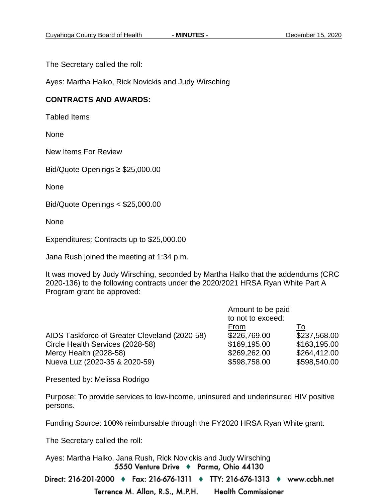The Secretary called the roll:

Ayes: Martha Halko, Rick Novickis and Judy Wirsching

## **CONTRACTS AND AWARDS:**

Tabled Items

**None** 

New Items For Review

Bid/Quote Openings ≥ \$25,000.00

None

Bid/Quote Openings < \$25,000.00

None

Expenditures: Contracts up to \$25,000.00

Jana Rush joined the meeting at 1:34 p.m.

It was moved by Judy Wirsching, seconded by Martha Halko that the addendums (CRC 2020-136) to the following contracts under the 2020/2021 HRSA Ryan White Part A Program grant be approved:

|                                               | Amount to be paid<br>to not to exceed: |              |
|-----------------------------------------------|----------------------------------------|--------------|
|                                               | From                                   | <u>To</u>    |
| AIDS Taskforce of Greater Cleveland (2020-58) | \$226,769.00                           | \$237,568.00 |
| Circle Health Services (2028-58)              | \$169,195.00                           | \$163,195.00 |
| Mercy Health (2028-58)                        | \$269,262.00                           | \$264,412.00 |
| Nueva Luz (2020-35 & 2020-59)                 | \$598,758.00                           | \$598,540.00 |

Presented by: Melissa Rodrigo

Purpose: To provide services to low-income, uninsured and underinsured HIV positive persons.

Funding Source: 100% reimbursable through the FY2020 HRSA Ryan White grant.

The Secretary called the roll:

Ayes: Martha Halko, Jana Rush, Rick Novickis and Judy Wirsching5550 Venture Drive + Parma, Ohio 44130

Direct: 216-201-2000 ♦ Fax: 216-676-1311 ♦ TTY: 216-676-1313 ♦ www.ccbh.net Terrence M. Allan, R.S., M.P.H. **Health Commissioner**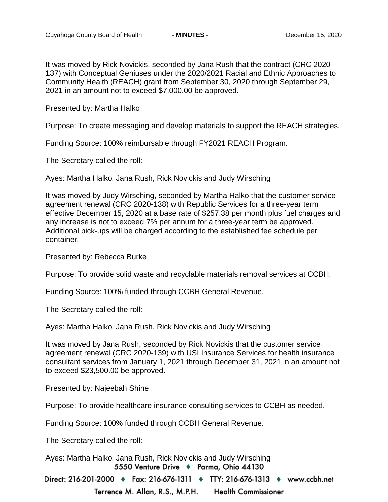It was moved by Rick Novickis, seconded by Jana Rush that the contract (CRC 2020- 137) with Conceptual Geniuses under the 2020/2021 Racial and Ethnic Approaches to Community Health (REACH) grant from September 30, 2020 through September 29, 2021 in an amount not to exceed \$7,000.00 be approved.

Presented by: Martha Halko

Purpose: To create messaging and develop materials to support the REACH strategies.

Funding Source: 100% reimbursable through FY2021 REACH Program.

The Secretary called the roll:

Ayes: Martha Halko, Jana Rush, Rick Novickis and Judy Wirsching

It was moved by Judy Wirsching, seconded by Martha Halko that the customer service agreement renewal (CRC 2020-138) with Republic Services for a three-year term effective December 15, 2020 at a base rate of \$257.38 per month plus fuel charges and any increase is not to exceed 7% per annum for a three-year term be approved. Additional pick-ups will be charged according to the established fee schedule per container.

Presented by: Rebecca Burke

Purpose: To provide solid waste and recyclable materials removal services at CCBH.

Funding Source: 100% funded through CCBH General Revenue.

The Secretary called the roll:

Ayes: Martha Halko, Jana Rush, Rick Novickis and Judy Wirsching

It was moved by Jana Rush, seconded by Rick Novickis that the customer service agreement renewal (CRC 2020-139) with USI Insurance Services for health insurance consultant services from January 1, 2021 through December 31, 2021 in an amount not to exceed \$23,500.00 be approved.

Presented by: Najeebah Shine

Purpose: To provide healthcare insurance consulting services to CCBH as needed.

Funding Source: 100% funded through CCBH General Revenue.

The Secretary called the roll:

Ayes: Martha Halko, Jana Rush, Rick Novickis and Judy Wirsching5550 Venture Drive + Parma, Ohio 44130

Direct: 216-201-2000 ♦ Fax: 216-676-1311 ♦ TTY: 216-676-1313 ♦ www.ccbh.net

Terrence M. Allan, R.S., M.P.H. **Health Commissioner**